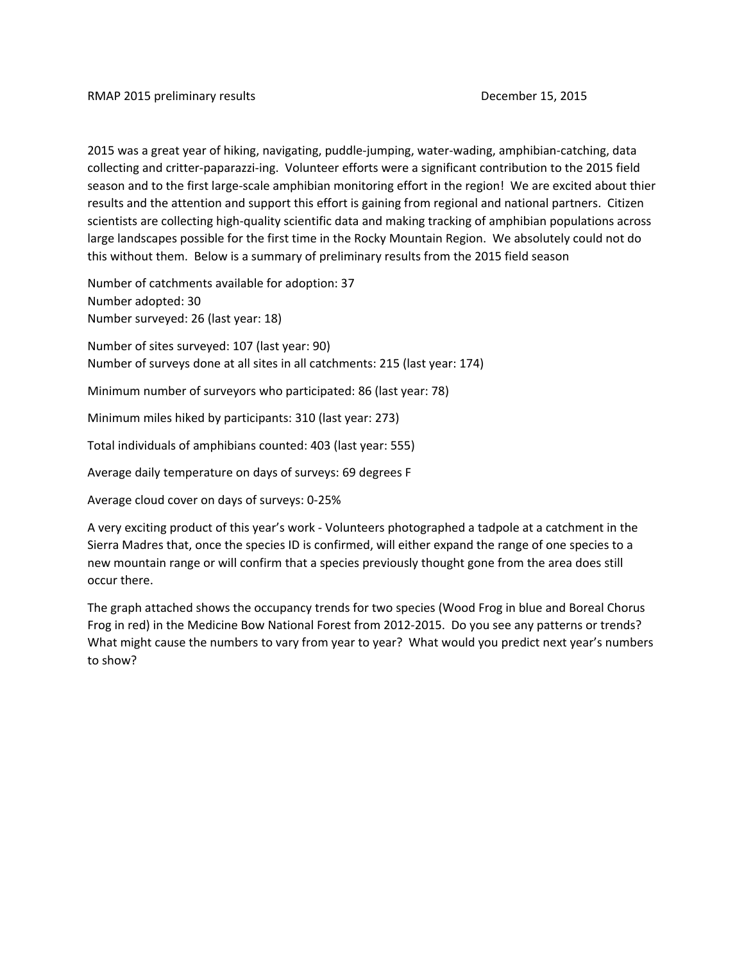2015 was a great year of hiking, navigating, puddle‐jumping, water‐wading, amphibian‐catching, data collecting and critter‐paparazzi‐ing. Volunteer efforts were a significant contribution to the 2015 field season and to the first large-scale amphibian monitoring effort in the region! We are excited about thier results and the attention and support this effort is gaining from regional and national partners. Citizen scientists are collecting high‐quality scientific data and making tracking of amphibian populations across large landscapes possible for the first time in the Rocky Mountain Region. We absolutely could not do this without them. Below is a summary of preliminary results from the 2015 field season

Number of catchments available for adoption: 37 Number adopted: 30 Number surveyed: 26 (last year: 18)

Number of sites surveyed: 107 (last year: 90) Number of surveys done at all sites in all catchments: 215 (last year: 174)

Minimum number of surveyors who participated: 86 (last year: 78)

Minimum miles hiked by participants: 310 (last year: 273)

Total individuals of amphibians counted: 403 (last year: 555)

Average daily temperature on days of surveys: 69 degrees F

Average cloud cover on days of surveys: 0‐25%

A very exciting product of this year's work ‐ Volunteers photographed a tadpole at a catchment in the Sierra Madres that, once the species ID is confirmed, will either expand the range of one species to a new mountain range or will confirm that a species previously thought gone from the area does still occur there.

The graph attached shows the occupancy trends for two species (Wood Frog in blue and Boreal Chorus Frog in red) in the Medicine Bow National Forest from 2012‐2015. Do you see any patterns or trends? What might cause the numbers to vary from year to year? What would you predict next year's numbers to show?